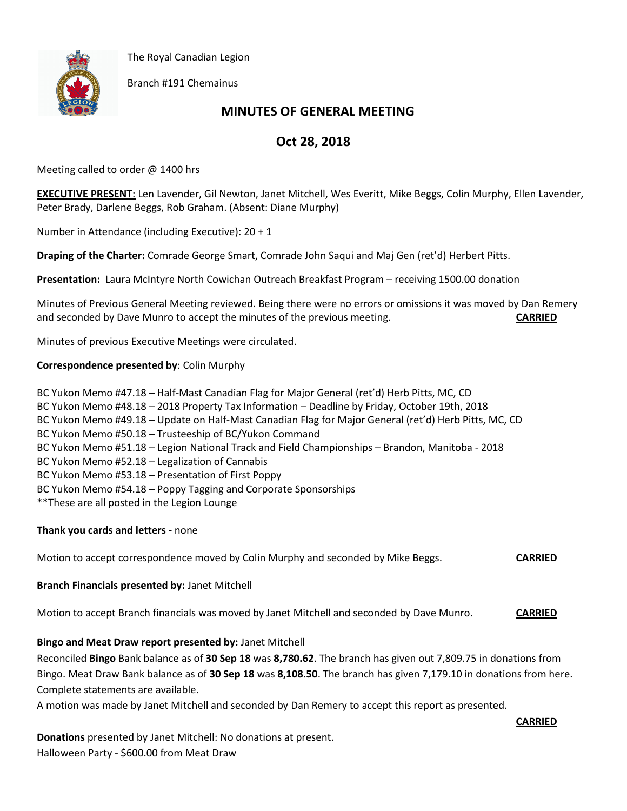



Branch #191 Chemainus

# **MINUTES OF GENERAL MEETING**

# **Oct 28, 2018**

Meeting called to order @ 1400 hrs

**EXECUTIVE PRESENT**: Len Lavender, Gil Newton, Janet Mitchell, Wes Everitt, Mike Beggs, Colin Murphy, Ellen Lavender, Peter Brady, Darlene Beggs, Rob Graham. (Absent: Diane Murphy)

Number in Attendance (including Executive): 20 + 1

**Draping of the Charter:** Comrade George Smart, Comrade John Saqui and Maj Gen (ret'd) Herbert Pitts.

**Presentation:** Laura McIntyre North Cowichan Outreach Breakfast Program – receiving 1500.00 donation

Minutes of Previous General Meeting reviewed. Being there were no errors or omissions it was moved by Dan Remery and seconded by Dave Munro to accept the minutes of the previous meeting. **CARRIED**

Minutes of previous Executive Meetings were circulated.

#### **Correspondence presented by**: Colin Murphy

BC Yukon Memo #47.18 – Half-Mast Canadian Flag for Major General (ret'd) Herb Pitts, MC, CD BC Yukon Memo #48.18 – 2018 Property Tax Information – Deadline by Friday, October 19th, 2018 BC Yukon Memo #49.18 – Update on Half-Mast Canadian Flag for Major General (ret'd) Herb Pitts, MC, CD BC Yukon Memo #50.18 – Trusteeship of BC/Yukon Command BC Yukon Memo #51.18 – Legion National Track and Field Championships – Brandon, Manitoba - 2018 BC Yukon Memo #52.18 – Legalization of Cannabis BC Yukon Memo #53.18 – Presentation of First Poppy BC Yukon Memo #54.18 – Poppy Tagging and Corporate Sponsorships \*\*These are all posted in the Legion Lounge

## **Thank you cards and letters -** none

Motion to accept correspondence moved by Colin Murphy and seconded by Mike Beggs. **CARRIED**

**Branch Financials presented by:** Janet Mitchell

Motion to accept Branch financials was moved by Janet Mitchell and seconded by Dave Munro. **CARRIED**

## **Bingo and Meat Draw report presented by:** Janet Mitchell

Reconciled **Bingo** Bank balance as of **30 Sep 18** was **8,780.62**. The branch has given out 7,809.75 in donations from Bingo. Meat Draw Bank balance as of **30 Sep 18** was **8,108.50**. The branch has given 7,179.10 in donations from here. Complete statements are available.

A motion was made by Janet Mitchell and seconded by Dan Remery to accept this report as presented.

#### **CARRIED**

**Donations** presented by Janet Mitchell: No donations at present. Halloween Party - \$600.00 from Meat Draw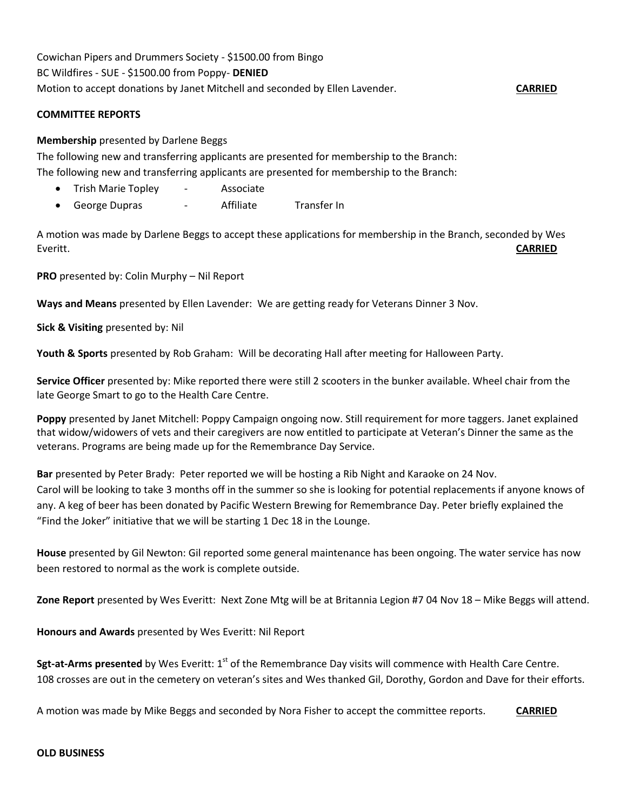Cowichan Pipers and Drummers Society - \$1500.00 from Bingo BC Wildfires - SUE - \$1500.00 from Poppy- **DENIED** Motion to accept donations by Janet Mitchell and seconded by Ellen Lavender. **CARRIED**

#### **COMMITTEE REPORTS**

#### **Membership** presented by Darlene Beggs

The following new and transferring applicants are presented for membership to the Branch: The following new and transferring applicants are presented for membership to the Branch:

- Trish Marie Topley Associate
- George Dupras Affiliate Transfer In

A motion was made by Darlene Beggs to accept these applications for membership in the Branch, seconded by Wes Everitt. **CARRIED**

**PRO** presented by: Colin Murphy – Nil Report

**Ways and Means** presented by Ellen Lavender: We are getting ready for Veterans Dinner 3 Nov.

**Sick & Visiting** presented by: Nil

**Youth & Sports** presented by Rob Graham: Will be decorating Hall after meeting for Halloween Party.

**Service Officer** presented by: Mike reported there were still 2 scooters in the bunker available. Wheel chair from the late George Smart to go to the Health Care Centre.

**Poppy** presented by Janet Mitchell: Poppy Campaign ongoing now. Still requirement for more taggers. Janet explained that widow/widowers of vets and their caregivers are now entitled to participate at Veteran's Dinner the same as the veterans. Programs are being made up for the Remembrance Day Service.

**Bar** presented by Peter Brady: Peter reported we will be hosting a Rib Night and Karaoke on 24 Nov. Carol will be looking to take 3 months off in the summer so she is looking for potential replacements if anyone knows of any. A keg of beer has been donated by Pacific Western Brewing for Remembrance Day. Peter briefly explained the "Find the Joker" initiative that we will be starting 1 Dec 18 in the Lounge.

**House** presented by Gil Newton: Gil reported some general maintenance has been ongoing. The water service has now been restored to normal as the work is complete outside.

**Zone Report** presented by Wes Everitt: Next Zone Mtg will be at Britannia Legion #7 04 Nov 18 – Mike Beggs will attend.

**Honours and Awards** presented by Wes Everitt: Nil Report

**Sgt-at-Arms presented** by Wes Everitt: 1<sup>st</sup> of the Remembrance Day visits will commence with Health Care Centre. 108 crosses are out in the cemetery on veteran's sites and Wes thanked Gil, Dorothy, Gordon and Dave for their efforts.

A motion was made by Mike Beggs and seconded by Nora Fisher to accept the committee reports. **CARRIED**